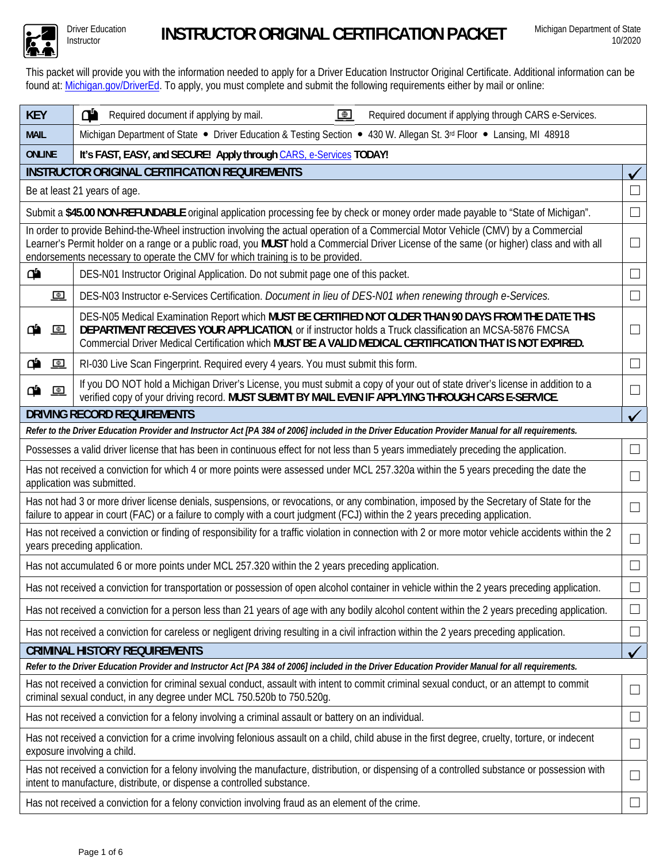

Driver Education

This packet will provide you with the information needed to apply for a Driver Education Instructor Original Certificate. Additional information can be found at: Michigan.gov/DriverEd. To apply, you must complete and submit the following requirements either by mail or online:

| <b>KEY</b>                                                                                                                                                                                                                                                                | ď<br>$\bigoplus$<br>Required document if applying through CARS e-Services.<br>Required document if applying by mail.                                                                                                                                                                                                                                                |               |  |  |  |  |  |  |  |  |
|---------------------------------------------------------------------------------------------------------------------------------------------------------------------------------------------------------------------------------------------------------------------------|---------------------------------------------------------------------------------------------------------------------------------------------------------------------------------------------------------------------------------------------------------------------------------------------------------------------------------------------------------------------|---------------|--|--|--|--|--|--|--|--|
| <b>MAIL</b>                                                                                                                                                                                                                                                               | Michigan Department of State • Driver Education & Testing Section • 430 W. Allegan St. 3rd Floor • Lansing, MI 48918                                                                                                                                                                                                                                                |               |  |  |  |  |  |  |  |  |
| <b>ONLINE</b><br>It's FAST, EASY, and SECURE! Apply through CARS, e-Services TODAY!                                                                                                                                                                                       |                                                                                                                                                                                                                                                                                                                                                                     |               |  |  |  |  |  |  |  |  |
|                                                                                                                                                                                                                                                                           | <b>INSTRUCTOR ORIGINAL CERTIFICATION REQUIREMENTS</b>                                                                                                                                                                                                                                                                                                               |               |  |  |  |  |  |  |  |  |
|                                                                                                                                                                                                                                                                           | Be at least 21 years of age.                                                                                                                                                                                                                                                                                                                                        |               |  |  |  |  |  |  |  |  |
|                                                                                                                                                                                                                                                                           | Submit a \$45.00 NON-REFUNDABLE original application processing fee by check or money order made payable to "State of Michigan".                                                                                                                                                                                                                                    |               |  |  |  |  |  |  |  |  |
|                                                                                                                                                                                                                                                                           | In order to provide Behind-the-Wheel instruction involving the actual operation of a Commercial Motor Vehicle (CMV) by a Commercial<br>Learner's Permit holder on a range or a public road, you MUST hold a Commercial Driver License of the same (or higher) class and with all<br>endorsements necessary to operate the CMV for which training is to be provided. | $\Box$        |  |  |  |  |  |  |  |  |
| ď                                                                                                                                                                                                                                                                         | DES-N01 Instructor Original Application. Do not submit page one of this packet.                                                                                                                                                                                                                                                                                     |               |  |  |  |  |  |  |  |  |
| $\bigoplus$                                                                                                                                                                                                                                                               | DES-N03 Instructor e-Services Certification. Document in lieu of DES-N01 when renewing through e-Services.                                                                                                                                                                                                                                                          | $\mathcal{L}$ |  |  |  |  |  |  |  |  |
| ₾<br>$\bigoplus$                                                                                                                                                                                                                                                          | DES-N05 Medical Examination Report which MUST BE CERTIFIED NOT OLDER THAN 90 DAYS FROM THE DATE THIS<br>DEPARTMENT RECEIVES YOUR APPLICATION, or if instructor holds a Truck classification an MCSA-5876 FMCSA<br>Commercial Driver Medical Certification which MUST BE A VALID MEDICAL CERTIFICATION THAT IS NOT EXPIRED.                                          |               |  |  |  |  |  |  |  |  |
| ₾<br>$\bigoplus$                                                                                                                                                                                                                                                          | RI-030 Live Scan Fingerprint. Required every 4 years. You must submit this form.                                                                                                                                                                                                                                                                                    |               |  |  |  |  |  |  |  |  |
| ءِ<br>$\bigoplus$                                                                                                                                                                                                                                                         | If you DO NOT hold a Michigan Driver's License, you must submit a copy of your out of state driver's license in addition to a<br>verified copy of your driving record. MUST SUBMIT BY MAIL EVEN IF APPLYING THROUGH CARS E-SERVICE.                                                                                                                                 |               |  |  |  |  |  |  |  |  |
|                                                                                                                                                                                                                                                                           | <b>DRIVING RECORD REQUIREMENTS</b>                                                                                                                                                                                                                                                                                                                                  |               |  |  |  |  |  |  |  |  |
| Refer to the Driver Education Provider and Instructor Act [PA 384 of 2006] included in the Driver Education Provider Manual for all requirements.                                                                                                                         |                                                                                                                                                                                                                                                                                                                                                                     |               |  |  |  |  |  |  |  |  |
| Possesses a valid driver license that has been in continuous effect for not less than 5 years immediately preceding the application.                                                                                                                                      |                                                                                                                                                                                                                                                                                                                                                                     |               |  |  |  |  |  |  |  |  |
|                                                                                                                                                                                                                                                                           | Has not received a conviction for which 4 or more points were assessed under MCL 257.320a within the 5 years preceding the date the<br>application was submitted.                                                                                                                                                                                                   |               |  |  |  |  |  |  |  |  |
| Has not had 3 or more driver license denials, suspensions, or revocations, or any combination, imposed by the Secretary of State for the<br>failure to appear in court (FAC) or a failure to comply with a court judgment (FCJ) within the 2 years preceding application. |                                                                                                                                                                                                                                                                                                                                                                     |               |  |  |  |  |  |  |  |  |
| Has not received a conviction or finding of responsibility for a traffic violation in connection with 2 or more motor vehicle accidents within the 2<br>years preceding application.                                                                                      |                                                                                                                                                                                                                                                                                                                                                                     |               |  |  |  |  |  |  |  |  |
| Has not accumulated 6 or more points under MCL 257.320 within the 2 years preceding application.                                                                                                                                                                          |                                                                                                                                                                                                                                                                                                                                                                     |               |  |  |  |  |  |  |  |  |
| Has not received a conviction for transportation or possession of open alcohol container in vehicle within the 2 years preceding application                                                                                                                              |                                                                                                                                                                                                                                                                                                                                                                     |               |  |  |  |  |  |  |  |  |
| Has not received a conviction for a person less than 21 years of age with any bodily alcohol content within the 2 years preceding application.<br>$\sqcup$                                                                                                                |                                                                                                                                                                                                                                                                                                                                                                     |               |  |  |  |  |  |  |  |  |
| Has not received a conviction for careless or negligent driving resulting in a civil infraction within the 2 years preceding application.                                                                                                                                 |                                                                                                                                                                                                                                                                                                                                                                     |               |  |  |  |  |  |  |  |  |
| <b>CRIMINAL HISTORY REQUIREMENTS</b>                                                                                                                                                                                                                                      |                                                                                                                                                                                                                                                                                                                                                                     |               |  |  |  |  |  |  |  |  |
| Refer to the Driver Education Provider and Instructor Act [PA 384 of 2006] included in the Driver Education Provider Manual for all requirements.                                                                                                                         |                                                                                                                                                                                                                                                                                                                                                                     |               |  |  |  |  |  |  |  |  |
| Has not received a conviction for criminal sexual conduct, assault with intent to commit criminal sexual conduct, or an attempt to commit<br>П<br>criminal sexual conduct, in any degree under MCL 750.520b to 750.520g.                                                  |                                                                                                                                                                                                                                                                                                                                                                     |               |  |  |  |  |  |  |  |  |
| Has not received a conviction for a felony involving a criminal assault or battery on an individual.<br>×.                                                                                                                                                                |                                                                                                                                                                                                                                                                                                                                                                     |               |  |  |  |  |  |  |  |  |
| Has not received a conviction for a crime involving felonious assault on a child, child abuse in the first degree, cruelty, torture, or indecent<br>$\Box$<br>exposure involving a child.                                                                                 |                                                                                                                                                                                                                                                                                                                                                                     |               |  |  |  |  |  |  |  |  |
| Has not received a conviction for a felony involving the manufacture, distribution, or dispensing of a controlled substance or possession with<br>$\Box$<br>intent to manufacture, distribute, or dispense a controlled substance.                                        |                                                                                                                                                                                                                                                                                                                                                                     |               |  |  |  |  |  |  |  |  |
| Has not received a conviction for a felony conviction involving fraud as an element of the crime.                                                                                                                                                                         |                                                                                                                                                                                                                                                                                                                                                                     |               |  |  |  |  |  |  |  |  |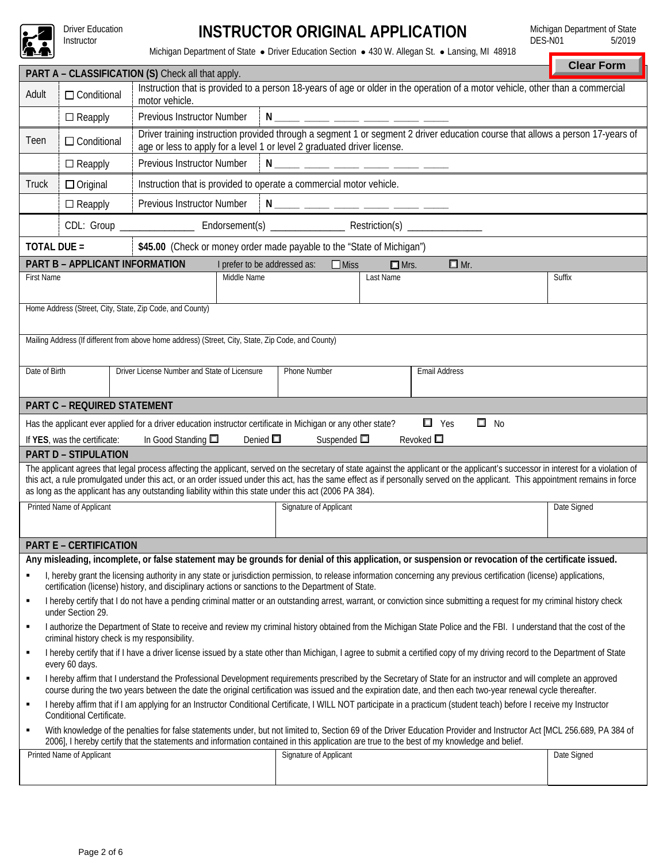

Driver Education<br>Instructor

## Instructor **INSTRUCTOR ORIGINAL APPLICATION**

Michigan Department of State DES-N01 5/2019

Michigan Department of State · Driver Education Section · 430 W. Allegan St. · Lansing, MI 48918

|                                                                                                                                                                                                                                                                                                                                                                                                                                                                                  |                                                                                                                                                                                                                                                                                                                                  |                                                                                                                                                                                                           |                              |                        |             |                                                                                                                                                                       | <b>Clear Form</b> |  |  |  |  |
|----------------------------------------------------------------------------------------------------------------------------------------------------------------------------------------------------------------------------------------------------------------------------------------------------------------------------------------------------------------------------------------------------------------------------------------------------------------------------------|----------------------------------------------------------------------------------------------------------------------------------------------------------------------------------------------------------------------------------------------------------------------------------------------------------------------------------|-----------------------------------------------------------------------------------------------------------------------------------------------------------------------------------------------------------|------------------------------|------------------------|-------------|-----------------------------------------------------------------------------------------------------------------------------------------------------------------------|-------------------|--|--|--|--|
| Adult                                                                                                                                                                                                                                                                                                                                                                                                                                                                            | PART A - CLASSIFICATION (S) Check all that apply.<br>Instruction that is provided to a person 18-years of age or older in the operation of a motor vehicle, other than a commercial<br>$\Box$ Conditional<br>motor vehicle.                                                                                                      |                                                                                                                                                                                                           |                              |                        |             |                                                                                                                                                                       |                   |  |  |  |  |
|                                                                                                                                                                                                                                                                                                                                                                                                                                                                                  | $\Box$ Reapply                                                                                                                                                                                                                                                                                                                   | Previous Instructor Number<br>N _____ _ <del>____ _____ ____ ____</del> ____                                                                                                                              |                              |                        |             |                                                                                                                                                                       |                   |  |  |  |  |
| Teen                                                                                                                                                                                                                                                                                                                                                                                                                                                                             | $\Box$ Conditional                                                                                                                                                                                                                                                                                                               | Driver training instruction provided through a segment 1 or segment 2 driver education course that allows a person 17-years of<br>age or less to apply for a level 1 or level 2 graduated driver license. |                              |                        |             |                                                                                                                                                                       |                   |  |  |  |  |
|                                                                                                                                                                                                                                                                                                                                                                                                                                                                                  | $\Box$ Reapply                                                                                                                                                                                                                                                                                                                   | Previous Instructor Number<br>N ____ _ <del>___ ____ ____ ____ ___</del>                                                                                                                                  |                              |                        |             |                                                                                                                                                                       |                   |  |  |  |  |
| Truck                                                                                                                                                                                                                                                                                                                                                                                                                                                                            | $\Box$ Original                                                                                                                                                                                                                                                                                                                  | Instruction that is provided to operate a commercial motor vehicle.                                                                                                                                       |                              |                        |             |                                                                                                                                                                       |                   |  |  |  |  |
|                                                                                                                                                                                                                                                                                                                                                                                                                                                                                  | Previous Instructor Number<br>N ____ ____ ____ ____ ____ ____<br>$\Box$ Reapply                                                                                                                                                                                                                                                  |                                                                                                                                                                                                           |                              |                        |             |                                                                                                                                                                       |                   |  |  |  |  |
|                                                                                                                                                                                                                                                                                                                                                                                                                                                                                  | CDL: Group ________________________ Endorsement(s) ______________________________ Restriction(s) ______________                                                                                                                                                                                                                  |                                                                                                                                                                                                           |                              |                        |             |                                                                                                                                                                       |                   |  |  |  |  |
| <b>TOTAL DUE =</b>                                                                                                                                                                                                                                                                                                                                                                                                                                                               |                                                                                                                                                                                                                                                                                                                                  | \$45.00 (Check or money order made payable to the "State of Michigan")                                                                                                                                    |                              |                        |             |                                                                                                                                                                       |                   |  |  |  |  |
|                                                                                                                                                                                                                                                                                                                                                                                                                                                                                  | PART B - APPLICANT INFORMATION                                                                                                                                                                                                                                                                                                   |                                                                                                                                                                                                           | I prefer to be addressed as: | $\Box$ Miss            | $\Box$ Mrs. | $\Box$ Mr.                                                                                                                                                            |                   |  |  |  |  |
| <b>First Name</b>                                                                                                                                                                                                                                                                                                                                                                                                                                                                |                                                                                                                                                                                                                                                                                                                                  |                                                                                                                                                                                                           | Middle Name                  |                        | Last Name   |                                                                                                                                                                       | Suffix            |  |  |  |  |
|                                                                                                                                                                                                                                                                                                                                                                                                                                                                                  |                                                                                                                                                                                                                                                                                                                                  |                                                                                                                                                                                                           |                              |                        |             |                                                                                                                                                                       |                   |  |  |  |  |
|                                                                                                                                                                                                                                                                                                                                                                                                                                                                                  |                                                                                                                                                                                                                                                                                                                                  | Home Address (Street, City, State, Zip Code, and County)                                                                                                                                                  |                              |                        |             |                                                                                                                                                                       |                   |  |  |  |  |
|                                                                                                                                                                                                                                                                                                                                                                                                                                                                                  |                                                                                                                                                                                                                                                                                                                                  | Mailing Address (If different from above home address) (Street, City, State, Zip Code, and County)                                                                                                        |                              |                        |             |                                                                                                                                                                       |                   |  |  |  |  |
| Date of Birth                                                                                                                                                                                                                                                                                                                                                                                                                                                                    |                                                                                                                                                                                                                                                                                                                                  | Driver License Number and State of Licensure                                                                                                                                                              |                              | Phone Number           |             | Email Address                                                                                                                                                         |                   |  |  |  |  |
|                                                                                                                                                                                                                                                                                                                                                                                                                                                                                  | <b>PART C - REQUIRED STATEMENT</b>                                                                                                                                                                                                                                                                                               |                                                                                                                                                                                                           |                              |                        |             |                                                                                                                                                                       |                   |  |  |  |  |
|                                                                                                                                                                                                                                                                                                                                                                                                                                                                                  |                                                                                                                                                                                                                                                                                                                                  |                                                                                                                                                                                                           |                              |                        |             | $\Box$ Yes<br>$\square$ No                                                                                                                                            |                   |  |  |  |  |
| Has the applicant ever applied for a driver education instructor certificate in Michigan or any other state?<br>Denied $\square$<br>In Good Standing $\square$<br>Suspended $\square$<br>Revoked $\square$<br>If YES, was the certificate:                                                                                                                                                                                                                                       |                                                                                                                                                                                                                                                                                                                                  |                                                                                                                                                                                                           |                              |                        |             |                                                                                                                                                                       |                   |  |  |  |  |
|                                                                                                                                                                                                                                                                                                                                                                                                                                                                                  | <b>PART D - STIPULATION</b>                                                                                                                                                                                                                                                                                                      |                                                                                                                                                                                                           |                              |                        |             |                                                                                                                                                                       |                   |  |  |  |  |
| The applicant agrees that legal process affecting the applicant, served on the secretary of state against the applicant or the applicant's successor in interest for a violation of<br>this act, a rule promulgated under this act, or an order issued under this act, has the same effect as if personally served on the applicant. This appointment remains in force<br>as long as the applicant has any outstanding liability within this state under this act (2006 PA 384). |                                                                                                                                                                                                                                                                                                                                  |                                                                                                                                                                                                           |                              |                        |             |                                                                                                                                                                       |                   |  |  |  |  |
|                                                                                                                                                                                                                                                                                                                                                                                                                                                                                  | Printed Name of Applicant                                                                                                                                                                                                                                                                                                        |                                                                                                                                                                                                           |                              | Signature of Applicant |             |                                                                                                                                                                       | Date Signed       |  |  |  |  |
|                                                                                                                                                                                                                                                                                                                                                                                                                                                                                  |                                                                                                                                                                                                                                                                                                                                  |                                                                                                                                                                                                           |                              |                        |             |                                                                                                                                                                       |                   |  |  |  |  |
|                                                                                                                                                                                                                                                                                                                                                                                                                                                                                  | <b>PART E - CERTIFICATION</b>                                                                                                                                                                                                                                                                                                    |                                                                                                                                                                                                           |                              |                        |             |                                                                                                                                                                       |                   |  |  |  |  |
|                                                                                                                                                                                                                                                                                                                                                                                                                                                                                  |                                                                                                                                                                                                                                                                                                                                  |                                                                                                                                                                                                           |                              |                        |             | Any misleading, incomplete, or false statement may be grounds for denial of this application, or suspension or revocation of the certificate issued.                  |                   |  |  |  |  |
|                                                                                                                                                                                                                                                                                                                                                                                                                                                                                  |                                                                                                                                                                                                                                                                                                                                  | certification (license) history, and disciplinary actions or sanctions to the Department of State.                                                                                                        |                              |                        |             | I, hereby grant the licensing authority in any state or jurisdiction permission, to release information concerning any previous certification (license) applications, |                   |  |  |  |  |
| ٠                                                                                                                                                                                                                                                                                                                                                                                                                                                                                | I hereby certify that I do not have a pending criminal matter or an outstanding arrest, warrant, or conviction since submitting a request for my criminal history check<br>under Section 29.                                                                                                                                     |                                                                                                                                                                                                           |                              |                        |             |                                                                                                                                                                       |                   |  |  |  |  |
| ٠                                                                                                                                                                                                                                                                                                                                                                                                                                                                                | I authorize the Department of State to receive and review my criminal history obtained from the Michigan State Police and the FBI. I understand that the cost of the<br>criminal history check is my responsibility.                                                                                                             |                                                                                                                                                                                                           |                              |                        |             |                                                                                                                                                                       |                   |  |  |  |  |
| $\blacksquare$                                                                                                                                                                                                                                                                                                                                                                                                                                                                   | I hereby certify that if I have a driver license issued by a state other than Michigan, I agree to submit a certified copy of my driving record to the Department of State<br>every 60 days.                                                                                                                                     |                                                                                                                                                                                                           |                              |                        |             |                                                                                                                                                                       |                   |  |  |  |  |
| ٠                                                                                                                                                                                                                                                                                                                                                                                                                                                                                | I hereby affirm that I understand the Professional Development requirements prescribed by the Secretary of State for an instructor and will complete an approved<br>course during the two years between the date the original certification was issued and the expiration date, and then each two-year renewal cycle thereafter. |                                                                                                                                                                                                           |                              |                        |             |                                                                                                                                                                       |                   |  |  |  |  |
| ٠                                                                                                                                                                                                                                                                                                                                                                                                                                                                                | I hereby affirm that if I am applying for an Instructor Conditional Certificate, I WILL NOT participate in a practicum (student teach) before I receive my Instructor<br>Conditional Certificate.                                                                                                                                |                                                                                                                                                                                                           |                              |                        |             |                                                                                                                                                                       |                   |  |  |  |  |
| With knowledge of the penalties for false statements under, but not limited to, Section 69 of the Driver Education Provider and Instructor Act [MCL 256.689, PA 384 of<br>٠<br>2006], I hereby certify that the statements and information contained in this application are true to the best of my knowledge and belief.                                                                                                                                                        |                                                                                                                                                                                                                                                                                                                                  |                                                                                                                                                                                                           |                              |                        |             |                                                                                                                                                                       |                   |  |  |  |  |
|                                                                                                                                                                                                                                                                                                                                                                                                                                                                                  | Printed Name of Applicant                                                                                                                                                                                                                                                                                                        |                                                                                                                                                                                                           |                              | Signature of Applicant |             |                                                                                                                                                                       | Date Signed       |  |  |  |  |
|                                                                                                                                                                                                                                                                                                                                                                                                                                                                                  |                                                                                                                                                                                                                                                                                                                                  |                                                                                                                                                                                                           |                              |                        |             |                                                                                                                                                                       |                   |  |  |  |  |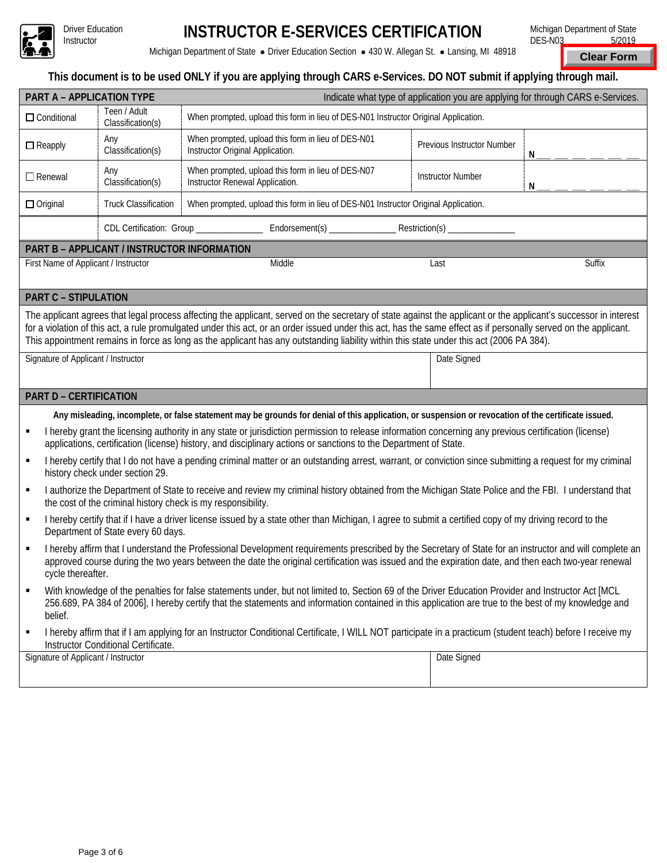

# **INSTRUCTOR E-SERVICES CERTIFICATION**

Michigan Department of State · Driver Education Section · 430 W. Allegan St. · Lansing, MI 48918

Michigan Department of State DES-N03 5/2019

**Clear Form**

### **This document is to be used ONLY if you are applying through CARS e-Services. DO NOT submit if applying through mail.**

|                                                                                                                                                                                                                                                                                                                                                                                                                                                                                                                                        | PART A - APPLICATION TYPE                                                                                          | Indicate what type of application you are applying for through CARS e-Services.                                                                                                                                                                                                                                |      |                               |        |  |  |  |  |  |
|----------------------------------------------------------------------------------------------------------------------------------------------------------------------------------------------------------------------------------------------------------------------------------------------------------------------------------------------------------------------------------------------------------------------------------------------------------------------------------------------------------------------------------------|--------------------------------------------------------------------------------------------------------------------|----------------------------------------------------------------------------------------------------------------------------------------------------------------------------------------------------------------------------------------------------------------------------------------------------------------|------|-------------------------------|--------|--|--|--|--|--|
| $\Box$ Conditional                                                                                                                                                                                                                                                                                                                                                                                                                                                                                                                     | Teen / Adult<br>Classification(s)                                                                                  | When prompted, upload this form in lieu of DES-N01 Instructor Original Application.                                                                                                                                                                                                                            |      |                               |        |  |  |  |  |  |
| $\Box$ Reapply                                                                                                                                                                                                                                                                                                                                                                                                                                                                                                                         | Any<br>Classification(s)                                                                                           | When prompted, upload this form in lieu of DES-N01<br>Instructor Original Application.                                                                                                                                                                                                                         |      | Previous Instructor Number    | N      |  |  |  |  |  |
| $\Box$ Renewal                                                                                                                                                                                                                                                                                                                                                                                                                                                                                                                         | Any<br>Classification(s)                                                                                           | When prompted, upload this form in lieu of DES-N07<br>Instructor Renewal Application.                                                                                                                                                                                                                          |      | <b>Instructor Number</b><br>N |        |  |  |  |  |  |
| $\Box$ Original                                                                                                                                                                                                                                                                                                                                                                                                                                                                                                                        | When prompted, upload this form in lieu of DES-N01 Instructor Original Application.<br><b>Truck Classification</b> |                                                                                                                                                                                                                                                                                                                |      |                               |        |  |  |  |  |  |
|                                                                                                                                                                                                                                                                                                                                                                                                                                                                                                                                        |                                                                                                                    |                                                                                                                                                                                                                                                                                                                |      |                               |        |  |  |  |  |  |
| PART B - APPLICANT / INSTRUCTOR INFORMATION                                                                                                                                                                                                                                                                                                                                                                                                                                                                                            |                                                                                                                    |                                                                                                                                                                                                                                                                                                                |      |                               |        |  |  |  |  |  |
| First Name of Applicant / Instructor                                                                                                                                                                                                                                                                                                                                                                                                                                                                                                   |                                                                                                                    | Middle                                                                                                                                                                                                                                                                                                         | Last |                               | Suffix |  |  |  |  |  |
| <b>PART C - STIPULATION</b>                                                                                                                                                                                                                                                                                                                                                                                                                                                                                                            |                                                                                                                    |                                                                                                                                                                                                                                                                                                                |      |                               |        |  |  |  |  |  |
| The applicant agrees that legal process affecting the applicant, served on the secretary of state against the applicant or the applicant's successor in interest<br>for a violation of this act, a rule promulgated under this act, or an order issued under this act, has the same effect as if personally served on the applicant.<br>This appointment remains in force as long as the applicant has any outstanding liability within this state under this act (2006 PA 384).<br>Signature of Applicant / Instructor<br>Date Signed |                                                                                                                    |                                                                                                                                                                                                                                                                                                                |      |                               |        |  |  |  |  |  |
|                                                                                                                                                                                                                                                                                                                                                                                                                                                                                                                                        |                                                                                                                    |                                                                                                                                                                                                                                                                                                                |      |                               |        |  |  |  |  |  |
| <b>PART D - CERTIFICATION</b>                                                                                                                                                                                                                                                                                                                                                                                                                                                                                                          |                                                                                                                    |                                                                                                                                                                                                                                                                                                                |      |                               |        |  |  |  |  |  |
|                                                                                                                                                                                                                                                                                                                                                                                                                                                                                                                                        |                                                                                                                    | Any misleading, incomplete, or false statement may be grounds for denial of this application, or suspension or revocation of the certificate issued.                                                                                                                                                           |      |                               |        |  |  |  |  |  |
| I hereby grant the licensing authority in any state or jurisdiction permission to release information concerning any previous certification (license)<br>П<br>applications, certification (license) history, and disciplinary actions or sanctions to the Department of State.                                                                                                                                                                                                                                                         |                                                                                                                    |                                                                                                                                                                                                                                                                                                                |      |                               |        |  |  |  |  |  |
|                                                                                                                                                                                                                                                                                                                                                                                                                                                                                                                                        |                                                                                                                    |                                                                                                                                                                                                                                                                                                                |      |                               |        |  |  |  |  |  |
| ٠                                                                                                                                                                                                                                                                                                                                                                                                                                                                                                                                      | history check under section 29.                                                                                    | I hereby certify that I do not have a pending criminal matter or an outstanding arrest, warrant, or conviction since submitting a request for my criminal                                                                                                                                                      |      |                               |        |  |  |  |  |  |
| ٠                                                                                                                                                                                                                                                                                                                                                                                                                                                                                                                                      | the cost of the criminal history check is my responsibility.                                                       | I authorize the Department of State to receive and review my criminal history obtained from the Michigan State Police and the FBI. I understand that                                                                                                                                                           |      |                               |        |  |  |  |  |  |
| ٠                                                                                                                                                                                                                                                                                                                                                                                                                                                                                                                                      | Department of State every 60 days.                                                                                 | I hereby certify that if I have a driver license issued by a state other than Michigan, I agree to submit a certified copy of my driving record to the                                                                                                                                                         |      |                               |        |  |  |  |  |  |
| ٠<br>cycle thereafter.                                                                                                                                                                                                                                                                                                                                                                                                                                                                                                                 |                                                                                                                    | I hereby affirm that I understand the Professional Development requirements prescribed by the Secretary of State for an instructor and will complete an<br>approved course during the two years between the date the original certification was issued and the expiration date, and then each two-year renewal |      |                               |        |  |  |  |  |  |
| ٠<br>belief.                                                                                                                                                                                                                                                                                                                                                                                                                                                                                                                           |                                                                                                                    | With knowledge of the penalties for false statements under, but not limited to, Section 69 of the Driver Education Provider and Instructor Act [MCL<br>256.689, PA 384 of 2006], I hereby certify that the statements and information contained in this application are true to the best of my knowledge and   |      |                               |        |  |  |  |  |  |
| ٠                                                                                                                                                                                                                                                                                                                                                                                                                                                                                                                                      | Instructor Conditional Certificate.                                                                                | I hereby affirm that if I am applying for an Instructor Conditional Certificate, I WILL NOT participate in a practicum (student teach) before I receive my                                                                                                                                                     |      |                               |        |  |  |  |  |  |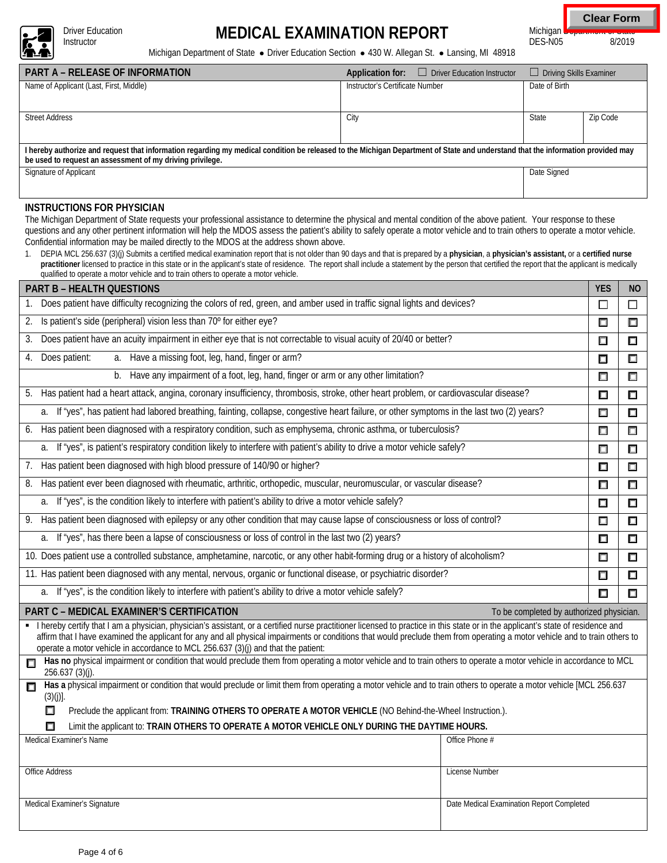

Driver Education<br>Instructor

# Driver Education **MEDICAL EXAMINATION REPORT**

Michigan Department of State<br>DES-N05 8/2019 **Clear Form**

 $DES-N05$ 

Michigan Department of State · Driver Education Section · 430 W. Allegan St. · Lansing, MI 48918

| <b>PART A – RELEASE OF INFORMATION</b>                                                                                                                                                                                                       | Driver Education Instructor<br>Application for: | $\Box$ Driving Skills Examiner |          |  |  |  |  |  |  |
|----------------------------------------------------------------------------------------------------------------------------------------------------------------------------------------------------------------------------------------------|-------------------------------------------------|--------------------------------|----------|--|--|--|--|--|--|
| Name of Applicant (Last, First, Middle)                                                                                                                                                                                                      | Instructor's Certificate Number                 | Date of Birth                  |          |  |  |  |  |  |  |
| <b>Street Address</b>                                                                                                                                                                                                                        | City                                            | State                          | Zip Code |  |  |  |  |  |  |
| I hereby authorize and request that information regarding my medical condition be released to the Michigan Department of State and understand that the information provided may<br>be used to request an assessment of my driving privilege. |                                                 |                                |          |  |  |  |  |  |  |
| Signature of Applicant                                                                                                                                                                                                                       |                                                 | Date Signed                    |          |  |  |  |  |  |  |

#### **INSTRUCTIONS FOR PHYSICIAN**

The Michigan Department of State requests your professional assistance to determine the physical and mental condition of the above patient. Your response to these questions and any other pertinent information will help the MDOS assess the patient's ability to safely operate a motor vehicle and to train others to operate a motor vehicle. Confidential information may be mailed directly to the MDOS at the address shown above.

1. DEPIA MCL 256.637 (3)(j) Submits a certified medical examination report that is not older than 90 days and that is prepared by a **physician**, a **physician's assistant,** or a **certified nurse practitioner** licensed to practice in this state or in the applicant's state of residence. The report shall include a statement by the person that certified the report that the applicant is medically qualified to operate a motor vehicle and to train others to operate a motor vehicle.

| <b>PART B - HEALTH QUESTIONS</b>                                                                                                                                                                                                                                                                                                                                                                                                                       |        |        |  |  |  |  |  |
|--------------------------------------------------------------------------------------------------------------------------------------------------------------------------------------------------------------------------------------------------------------------------------------------------------------------------------------------------------------------------------------------------------------------------------------------------------|--------|--------|--|--|--|--|--|
| Does patient have difficulty recognizing the colors of red, green, and amber used in traffic signal lights and devices?                                                                                                                                                                                                                                                                                                                                |        |        |  |  |  |  |  |
| Is patient's side (peripheral) vision less than 70° for either eye?<br>2.                                                                                                                                                                                                                                                                                                                                                                              |        |        |  |  |  |  |  |
| Does patient have an acuity impairment in either eye that is not correctable to visual acuity of 20/40 or better?<br>3.                                                                                                                                                                                                                                                                                                                                |        |        |  |  |  |  |  |
| a. Have a missing foot, leg, hand, finger or arm?<br>Does patient:<br>4.                                                                                                                                                                                                                                                                                                                                                                               |        |        |  |  |  |  |  |
| b. Have any impairment of a foot, leg, hand, finger or arm or any other limitation?                                                                                                                                                                                                                                                                                                                                                                    |        |        |  |  |  |  |  |
| 5. Has patient had a heart attack, angina, coronary insufficiency, thrombosis, stroke, other heart problem, or cardiovascular disease?                                                                                                                                                                                                                                                                                                                 |        |        |  |  |  |  |  |
| a. If "yes", has patient had labored breathing, fainting, collapse, congestive heart failure, or other symptoms in the last two (2) years?                                                                                                                                                                                                                                                                                                             |        |        |  |  |  |  |  |
| Has patient been diagnosed with a respiratory condition, such as emphysema, chronic asthma, or tuberculosis?<br>6.                                                                                                                                                                                                                                                                                                                                     | □      | $\Box$ |  |  |  |  |  |
| If "yes", is patient's respiratory condition likely to interfere with patient's ability to drive a motor vehicle safely?<br>a.                                                                                                                                                                                                                                                                                                                         | $\Box$ | □      |  |  |  |  |  |
| Has patient been diagnosed with high blood pressure of 140/90 or higher?<br>7.                                                                                                                                                                                                                                                                                                                                                                         | □      | $\Box$ |  |  |  |  |  |
| Has patient ever been diagnosed with rheumatic, arthritic, orthopedic, muscular, neuromuscular, or vascular disease?<br>8.                                                                                                                                                                                                                                                                                                                             | $\Box$ | $\Box$ |  |  |  |  |  |
| a. If "yes", is the condition likely to interfere with patient's ability to drive a motor vehicle safely?                                                                                                                                                                                                                                                                                                                                              | ◻      | $\Box$ |  |  |  |  |  |
| 9. Has patient been diagnosed with epilepsy or any other condition that may cause lapse of consciousness or loss of control?                                                                                                                                                                                                                                                                                                                           |        |        |  |  |  |  |  |
| a. If "yes", has there been a lapse of consciousness or loss of control in the last two (2) years?                                                                                                                                                                                                                                                                                                                                                     |        |        |  |  |  |  |  |
| 10. Does patient use a controlled substance, amphetamine, narcotic, or any other habit-forming drug or a history of alcoholism?                                                                                                                                                                                                                                                                                                                        |        |        |  |  |  |  |  |
| 11. Has patient been diagnosed with any mental, nervous, organic or functional disease, or psychiatric disorder?                                                                                                                                                                                                                                                                                                                                       |        |        |  |  |  |  |  |
| a. If "yes", is the condition likely to interfere with patient's ability to drive a motor vehicle safely?                                                                                                                                                                                                                                                                                                                                              |        |        |  |  |  |  |  |
| PART C - MEDICAL EXAMINER'S CERTIFICATION<br>To be completed by authorized physician.                                                                                                                                                                                                                                                                                                                                                                  |        |        |  |  |  |  |  |
| • I hereby certify that I am a physician, physician's assistant, or a certified nurse practitioner licensed to practice in this state or in the applicant's state of residence and<br>affirm that I have examined the applicant for any and all physical impairments or conditions that would preclude them from operating a motor vehicle and to train others to<br>operate a motor vehicle in accordance to MCL 256.637 (3)(j) and that the patient: |        |        |  |  |  |  |  |
| Has no physical impairment or condition that would preclude them from operating a motor vehicle and to train others to operate a motor vehicle in accordance to MCL<br>П<br>$256.637(3)(i)$ .                                                                                                                                                                                                                                                          |        |        |  |  |  |  |  |
| Has a physical impairment or condition that would preclude or limit them from operating a motor vehicle and to train others to operate a motor vehicle [MCL 256.637<br>П<br>$(3)(j)$ ].                                                                                                                                                                                                                                                                |        |        |  |  |  |  |  |
| Preclude the applicant from: TRAINING OTHERS TO OPERATE A MOTOR VEHICLE (NO Behind-the-Wheel Instruction.).<br>П                                                                                                                                                                                                                                                                                                                                       |        |        |  |  |  |  |  |
| Limit the applicant to: TRAIN OTHERS TO OPERATE A MOTOR VEHICLE ONLY DURING THE DAYTIME HOURS.                                                                                                                                                                                                                                                                                                                                                         |        |        |  |  |  |  |  |
| Medical Examiner's Name<br>Office Phone #                                                                                                                                                                                                                                                                                                                                                                                                              |        |        |  |  |  |  |  |
| <b>Office Address</b><br>License Number                                                                                                                                                                                                                                                                                                                                                                                                                |        |        |  |  |  |  |  |
|                                                                                                                                                                                                                                                                                                                                                                                                                                                        |        |        |  |  |  |  |  |
| Medical Examiner's Signature<br>Date Medical Examination Report Completed                                                                                                                                                                                                                                                                                                                                                                              |        |        |  |  |  |  |  |
|                                                                                                                                                                                                                                                                                                                                                                                                                                                        |        |        |  |  |  |  |  |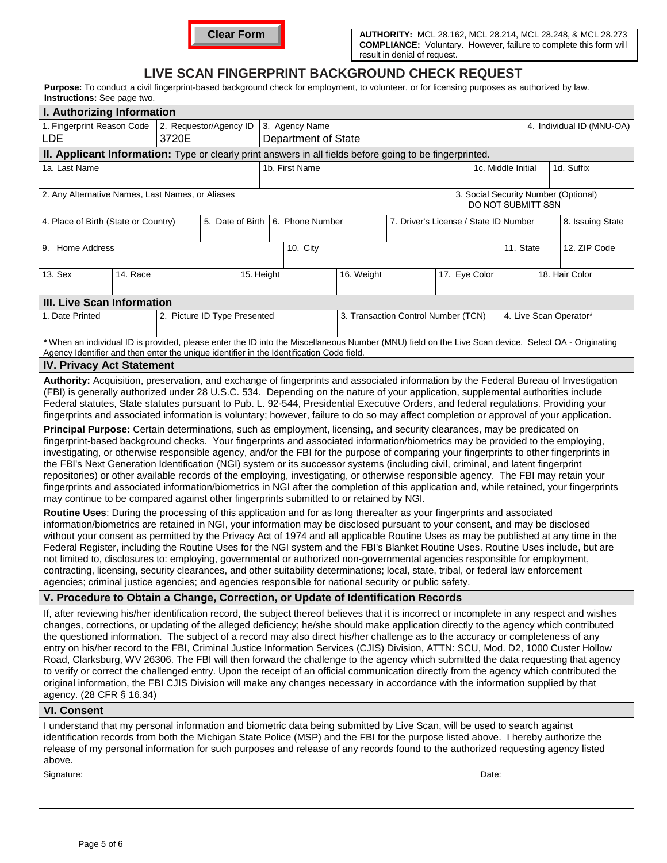

## **LIVE SCAN FINGERPRINT BACKGROUND CHECK REQUEST**

Purpose: To conduct a civil fingerprint-based background check for employment, to volunteer, or for licensing purposes as authorized by law. **Instructions: See page two.** 

| man donona. Occ page noo.                                                                                                                                                                                                                                                                                                                                                                                                                                                                                                                                                                                                                                                                                                                                                                                                                                                                                                                                                                                                                                                                                                                                                                                                                                                                                                                                                                                                                                                                                                                                                                                                                                                                                                                                                                                                                                                                                                                                                                                                                                                                                                                                                                                                                                                                                                                                                                                |  |                                  |                |  |                                       |            |                                     |                                  |               |                        |                           |  |
|----------------------------------------------------------------------------------------------------------------------------------------------------------------------------------------------------------------------------------------------------------------------------------------------------------------------------------------------------------------------------------------------------------------------------------------------------------------------------------------------------------------------------------------------------------------------------------------------------------------------------------------------------------------------------------------------------------------------------------------------------------------------------------------------------------------------------------------------------------------------------------------------------------------------------------------------------------------------------------------------------------------------------------------------------------------------------------------------------------------------------------------------------------------------------------------------------------------------------------------------------------------------------------------------------------------------------------------------------------------------------------------------------------------------------------------------------------------------------------------------------------------------------------------------------------------------------------------------------------------------------------------------------------------------------------------------------------------------------------------------------------------------------------------------------------------------------------------------------------------------------------------------------------------------------------------------------------------------------------------------------------------------------------------------------------------------------------------------------------------------------------------------------------------------------------------------------------------------------------------------------------------------------------------------------------------------------------------------------------------------------------------------------------|--|----------------------------------|----------------|--|---------------------------------------|------------|-------------------------------------|----------------------------------|---------------|------------------------|---------------------------|--|
| I. Authorizing Information                                                                                                                                                                                                                                                                                                                                                                                                                                                                                                                                                                                                                                                                                                                                                                                                                                                                                                                                                                                                                                                                                                                                                                                                                                                                                                                                                                                                                                                                                                                                                                                                                                                                                                                                                                                                                                                                                                                                                                                                                                                                                                                                                                                                                                                                                                                                                                               |  |                                  |                |  |                                       |            |                                     |                                  |               |                        |                           |  |
| 1. Fingerprint Reason Code<br>2. Requestor/Agency ID<br>3. Agency Name<br>3720E<br>LDE<br>Department of State                                                                                                                                                                                                                                                                                                                                                                                                                                                                                                                                                                                                                                                                                                                                                                                                                                                                                                                                                                                                                                                                                                                                                                                                                                                                                                                                                                                                                                                                                                                                                                                                                                                                                                                                                                                                                                                                                                                                                                                                                                                                                                                                                                                                                                                                                            |  |                                  |                |  |                                       |            |                                     |                                  |               |                        | 4. Individual ID (MNU-OA) |  |
| II. Applicant Information: Type or clearly print answers in all fields before going to be fingerprinted.                                                                                                                                                                                                                                                                                                                                                                                                                                                                                                                                                                                                                                                                                                                                                                                                                                                                                                                                                                                                                                                                                                                                                                                                                                                                                                                                                                                                                                                                                                                                                                                                                                                                                                                                                                                                                                                                                                                                                                                                                                                                                                                                                                                                                                                                                                 |  |                                  |                |  |                                       |            |                                     |                                  |               |                        |                           |  |
| 1a. Last Name                                                                                                                                                                                                                                                                                                                                                                                                                                                                                                                                                                                                                                                                                                                                                                                                                                                                                                                                                                                                                                                                                                                                                                                                                                                                                                                                                                                                                                                                                                                                                                                                                                                                                                                                                                                                                                                                                                                                                                                                                                                                                                                                                                                                                                                                                                                                                                                            |  |                                  | 1b. First Name |  |                                       |            |                                     | 1d. Suffix<br>1c. Middle Initial |               |                        |                           |  |
| 2. Any Alternative Names, Last Names, or Aliases<br>3. Social Security Number (Optional)<br>DO NOT SUBMITT SSN                                                                                                                                                                                                                                                                                                                                                                                                                                                                                                                                                                                                                                                                                                                                                                                                                                                                                                                                                                                                                                                                                                                                                                                                                                                                                                                                                                                                                                                                                                                                                                                                                                                                                                                                                                                                                                                                                                                                                                                                                                                                                                                                                                                                                                                                                           |  |                                  |                |  |                                       |            |                                     |                                  |               |                        |                           |  |
| 4. Place of Birth (State or Country)                                                                                                                                                                                                                                                                                                                                                                                                                                                                                                                                                                                                                                                                                                                                                                                                                                                                                                                                                                                                                                                                                                                                                                                                                                                                                                                                                                                                                                                                                                                                                                                                                                                                                                                                                                                                                                                                                                                                                                                                                                                                                                                                                                                                                                                                                                                                                                     |  | 5. Date of Birth 6. Phone Number |                |  | 7. Driver's License / State ID Number |            |                                     |                                  |               | 8. Issuing State       |                           |  |
| 9. Home Address                                                                                                                                                                                                                                                                                                                                                                                                                                                                                                                                                                                                                                                                                                                                                                                                                                                                                                                                                                                                                                                                                                                                                                                                                                                                                                                                                                                                                                                                                                                                                                                                                                                                                                                                                                                                                                                                                                                                                                                                                                                                                                                                                                                                                                                                                                                                                                                          |  |                                  |                |  | 10. City                              |            |                                     |                                  | 11. State     |                        | 12. ZIP Code              |  |
| 13. Sex<br>14. Race                                                                                                                                                                                                                                                                                                                                                                                                                                                                                                                                                                                                                                                                                                                                                                                                                                                                                                                                                                                                                                                                                                                                                                                                                                                                                                                                                                                                                                                                                                                                                                                                                                                                                                                                                                                                                                                                                                                                                                                                                                                                                                                                                                                                                                                                                                                                                                                      |  |                                  | 15. Height     |  |                                       | 16. Weight |                                     |                                  | 17. Eye Color |                        | 18. Hair Color            |  |
| <b>III. Live Scan Information</b>                                                                                                                                                                                                                                                                                                                                                                                                                                                                                                                                                                                                                                                                                                                                                                                                                                                                                                                                                                                                                                                                                                                                                                                                                                                                                                                                                                                                                                                                                                                                                                                                                                                                                                                                                                                                                                                                                                                                                                                                                                                                                                                                                                                                                                                                                                                                                                        |  |                                  |                |  |                                       |            |                                     |                                  |               |                        |                           |  |
| 1. Date Printed                                                                                                                                                                                                                                                                                                                                                                                                                                                                                                                                                                                                                                                                                                                                                                                                                                                                                                                                                                                                                                                                                                                                                                                                                                                                                                                                                                                                                                                                                                                                                                                                                                                                                                                                                                                                                                                                                                                                                                                                                                                                                                                                                                                                                                                                                                                                                                                          |  | 2. Picture ID Type Presented     |                |  |                                       |            | 3. Transaction Control Number (TCN) |                                  |               | 4. Live Scan Operator* |                           |  |
| *When an individual ID is provided, please enter the ID into the Miscellaneous Number (MNU) field on the Live Scan device. Select OA - Originating<br>Agency Identifier and then enter the unique identifier in the Identification Code field.                                                                                                                                                                                                                                                                                                                                                                                                                                                                                                                                                                                                                                                                                                                                                                                                                                                                                                                                                                                                                                                                                                                                                                                                                                                                                                                                                                                                                                                                                                                                                                                                                                                                                                                                                                                                                                                                                                                                                                                                                                                                                                                                                           |  |                                  |                |  |                                       |            |                                     |                                  |               |                        |                           |  |
| <b>IV. Privacy Act Statement</b>                                                                                                                                                                                                                                                                                                                                                                                                                                                                                                                                                                                                                                                                                                                                                                                                                                                                                                                                                                                                                                                                                                                                                                                                                                                                                                                                                                                                                                                                                                                                                                                                                                                                                                                                                                                                                                                                                                                                                                                                                                                                                                                                                                                                                                                                                                                                                                         |  |                                  |                |  |                                       |            |                                     |                                  |               |                        |                           |  |
| Authority: Acquisition, preservation, and exchange of fingerprints and associated information by the Federal Bureau of Investigation<br>(FBI) is generally authorized under 28 U.S.C. 534. Depending on the nature of your application, supplemental authorities include<br>Federal statutes, State statutes pursuant to Pub. L. 92-544, Presidential Executive Orders, and federal regulations. Providing your<br>fingerprints and associated information is voluntary; however, failure to do so may affect completion or approval of your application.<br>Principal Purpose: Certain determinations, such as employment, licensing, and security clearances, may be predicated on<br>fingerprint-based background checks. Your fingerprints and associated information/biometrics may be provided to the employing,<br>investigating, or otherwise responsible agency, and/or the FBI for the purpose of comparing your fingerprints to other fingerprints in<br>the FBI's Next Generation Identification (NGI) system or its successor systems (including civil, criminal, and latent fingerprint<br>repositories) or other available records of the employing, investigating, or otherwise responsible agency. The FBI may retain your<br>fingerprints and associated information/biometrics in NGI after the completion of this application and, while retained, your fingerprints<br>may continue to be compared against other fingerprints submitted to or retained by NGI.<br>Routine Uses: During the processing of this application and for as long thereafter as your fingerprints and associated<br>information/biometrics are retained in NGI, your information may be disclosed pursuant to your consent, and may be disclosed<br>without your consent as permitted by the Privacy Act of 1974 and all applicable Routine Uses as may be published at any time in the<br>Federal Register, including the Routine Uses for the NGI system and the FBI's Blanket Routine Uses. Routine Uses include, but are<br>not limited to, disclosures to: employing, governmental or authorized non-governmental agencies responsible for employment,<br>contracting, licensing, security clearances, and other suitability determinations; local, state, tribal, or federal law enforcement<br>agencies; criminal justice agencies; and agencies responsible for national security or public safety. |  |                                  |                |  |                                       |            |                                     |                                  |               |                        |                           |  |
| V. Procedure to Obtain a Change, Correction, or Update of Identification Records                                                                                                                                                                                                                                                                                                                                                                                                                                                                                                                                                                                                                                                                                                                                                                                                                                                                                                                                                                                                                                                                                                                                                                                                                                                                                                                                                                                                                                                                                                                                                                                                                                                                                                                                                                                                                                                                                                                                                                                                                                                                                                                                                                                                                                                                                                                         |  |                                  |                |  |                                       |            |                                     |                                  |               |                        |                           |  |
| If, after reviewing his/her identification record, the subject thereof believes that it is incorrect or incomplete in any respect and wishes<br>changes, corrections, or updating of the alleged deficiency; he/she should make application directly to the agency which contributed<br>the questioned information. The subject of a record may also direct his/her challenge as to the accuracy or completeness of any<br>entry on his/her record to the FBI, Criminal Justice Information Services (CJIS) Division, ATTN: SCU, Mod. D2, 1000 Custer Hollow<br>Road, Clarksburg, WV 26306. The FBI will then forward the challenge to the agency which submitted the data requesting that agency<br>to verify or correct the challenged entry. Upon the receipt of an official communication directly from the agency which contributed the<br>original information, the FBI CJIS Division will make any changes necessary in accordance with the information supplied by that<br>agency. (28 CFR § 16.34)                                                                                                                                                                                                                                                                                                                                                                                                                                                                                                                                                                                                                                                                                                                                                                                                                                                                                                                                                                                                                                                                                                                                                                                                                                                                                                                                                                                              |  |                                  |                |  |                                       |            |                                     |                                  |               |                        |                           |  |
| <b>VI. Consent</b>                                                                                                                                                                                                                                                                                                                                                                                                                                                                                                                                                                                                                                                                                                                                                                                                                                                                                                                                                                                                                                                                                                                                                                                                                                                                                                                                                                                                                                                                                                                                                                                                                                                                                                                                                                                                                                                                                                                                                                                                                                                                                                                                                                                                                                                                                                                                                                                       |  |                                  |                |  |                                       |            |                                     |                                  |               |                        |                           |  |
| I understand that my personal information and biometric data being submitted by Live Scan, will be used to search against<br>identification records from both the Michigan State Police (MSP) and the FBI for the purpose listed above. I hereby authorize the<br>release of my personal information for such purposes and release of any records found to the authorized requesting agency listed<br>above.                                                                                                                                                                                                                                                                                                                                                                                                                                                                                                                                                                                                                                                                                                                                                                                                                                                                                                                                                                                                                                                                                                                                                                                                                                                                                                                                                                                                                                                                                                                                                                                                                                                                                                                                                                                                                                                                                                                                                                                             |  |                                  |                |  |                                       |            |                                     |                                  |               |                        |                           |  |
| Signature:<br>Date:                                                                                                                                                                                                                                                                                                                                                                                                                                                                                                                                                                                                                                                                                                                                                                                                                                                                                                                                                                                                                                                                                                                                                                                                                                                                                                                                                                                                                                                                                                                                                                                                                                                                                                                                                                                                                                                                                                                                                                                                                                                                                                                                                                                                                                                                                                                                                                                      |  |                                  |                |  |                                       |            |                                     |                                  |               |                        |                           |  |